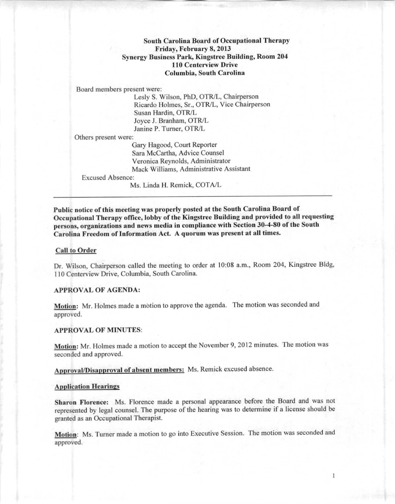# South Carolina Board of Occupational Therapy Friday, February 8, 2013 Synergy Business Park, Kingstree Building, Room 204 **110** Ccntervicw Drive Columbia, South Carolina

Board members present were:

lesly S. Wilson, PhD, OTR/l, Chairperson Ricardo Holmes, Sr., OTR/L, Vice Chairperson Susan Hardin, OTR/l Joyce J. Branham, OTR/l Janine P. Turner, OTR/l

Others present were:

Gary Hagood, Court Reporter Sara McCartha, Advice Counsel Veronica Rcynolds, Administrator Mack Williams, Administrative Assistant

## Excused Absence:

Ms. Linda H. Remick, COTAll

Public notice of this mceting was propcrly posted at the South Carolina Board of Occupational Therapy office, lobby of the Kingstree Building and provided to all requesting persons, organizations and news media in compliance with Section 30-4-80 of the South Carolina Frcedom of Information Act. A quorum was present at all times.

### **Call to Order**

Dr. Wilson, Chairperson called the meeting to order at 10:08 a.m., Room 204, Kingstree Bldg, 110 Centerview Drive, Columbia, South Carolina.

# APPROVAL OF AGENDA:

Motion: Mr. Holmes made a motion to approve the agenda. The motion was seconded and approved.

## APPROVAL OF MINUTES:

Motion: Mr. Holmes made a motion to accept the November 9, 2012 minutes. The motion was seconded and approved.

Approval/Disapproval of absent members: Ms. Remick excused absence.

#### Application Hearings

Sharon Florence: Ms. Florence made a personal appearance before the Board and was not represented by legal counsel. The purpose of the hearing was to determine if a license should be granted as an Occupational Therapist.

Motion: Ms. Turner made a motion to go into Executive Session. The motion was seconded and approved.